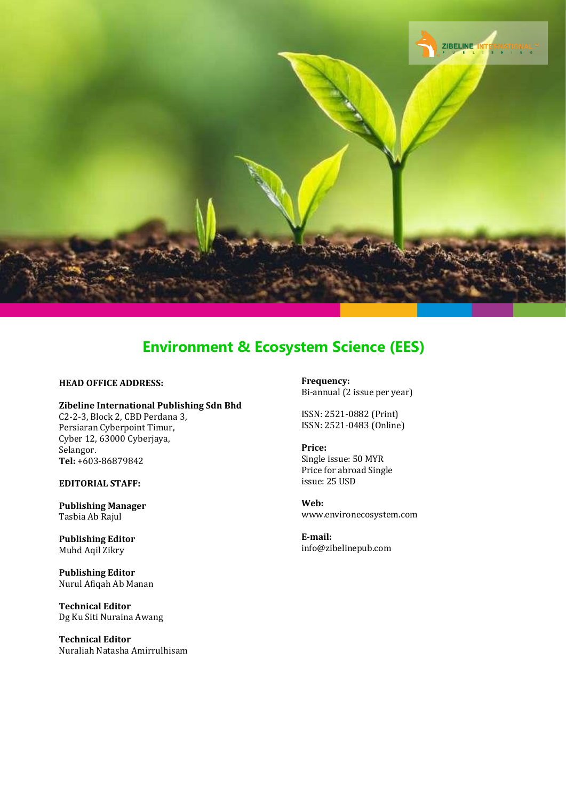

### **Environment & Ecosystem Science (EES)**

#### **HEAD OFFICE ADDRESS:**

**Zibeline International Publishing Sdn Bhd** C2-2-3, Block 2, CBD Perdana 3, Persiaran Cyberpoint Timur, Cyber 12, 63000 Cyberjaya, Selangor. **Tel:** +603-86879842

**EDITORIAL STAFF:**

**Publishing Manager** Tasbia Ab Rajul

**Publishing Editor** Muhd Aqil Zikry

**Publishing Editor** Nurul Afiqah Ab Manan

**Technical Editor** Dg Ku Siti Nuraina Awang

**Technical Editor** Nuraliah Natasha Amirrulhisam **Frequency:** Bi-annual (2 issue per year)

ISSN: 2521-0882 (Print) ISSN: 2521-0483 (Online)

**Price:** Single issue: 50 MYR Price for abroad Single issue: 25 USD

**Web:** [www.environecosystem.com](http://www.environecosystem.com/)

**E-mail:** [info@zibelinepub.com](mailto:info@zibelinepub.com)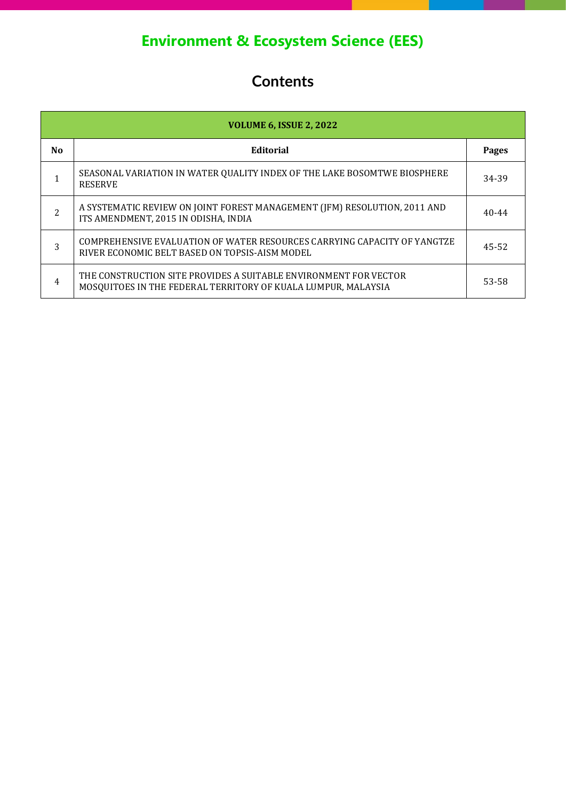# **Environment & Ecosystem Science (EES)**

## **Contents**

| <b>VOLUME 6, ISSUE 2, 2022</b> |                                                                                                                                   |           |
|--------------------------------|-----------------------------------------------------------------------------------------------------------------------------------|-----------|
| N <sub>0</sub>                 | <b>Editorial</b>                                                                                                                  | Pages     |
|                                | SEASONAL VARIATION IN WATER QUALITY INDEX OF THE LAKE BOSOMTWE BIOSPHERE<br><b>RESERVE</b>                                        | 34-39     |
| $\overline{c}$                 | A SYSTEMATIC REVIEW ON JOINT FOREST MANAGEMENT (JFM) RESOLUTION, 2011 AND<br>ITS AMENDMENT, 2015 IN ODISHA, INDIA                 | $40 - 44$ |
| 3                              | COMPREHENSIVE EVALUATION OF WATER RESOURCES CARRYING CAPACITY OF YANGTZE<br>RIVER ECONOMIC BELT BASED ON TOPSIS-AISM MODEL        | 45-52     |
| 4                              | THE CONSTRUCTION SITE PROVIDES A SUITABLE ENVIRONMENT FOR VECTOR<br>MOSQUITOES IN THE FEDERAL TERRITORY OF KUALA LUMPUR, MALAYSIA | 53-58     |